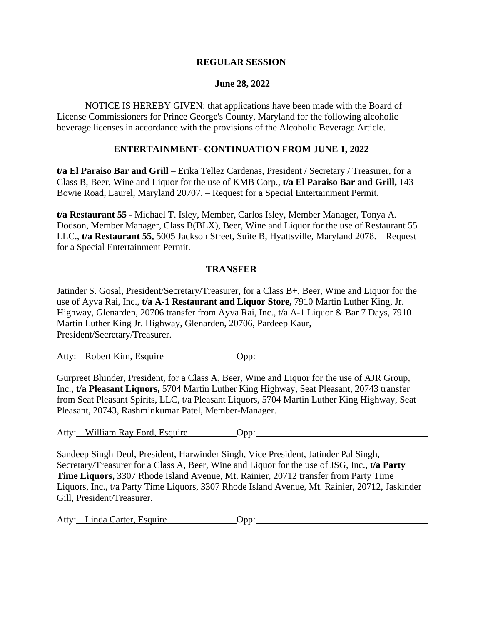### **REGULAR SESSION**

#### **June 28, 2022**

NOTICE IS HEREBY GIVEN: that applications have been made with the Board of License Commissioners for Prince George's County, Maryland for the following alcoholic beverage licenses in accordance with the provisions of the Alcoholic Beverage Article.

#### **ENTERTAINMENT- CONTINUATION FROM JUNE 1, 2022**

**t/a El Paraiso Bar and Grill** – Erika Tellez Cardenas, President / Secretary / Treasurer, for a Class B, Beer, Wine and Liquor for the use of KMB Corp., **t/a El Paraiso Bar and Grill,** 143 Bowie Road, Laurel, Maryland 20707. – Request for a Special Entertainment Permit.

**t/a Restaurant 55 -** Michael T. Isley, Member, Carlos Isley, Member Manager, Tonya A. Dodson, Member Manager, Class B(BLX), Beer, Wine and Liquor for the use of Restaurant 55 LLC., **t/a Restaurant 55,** 5005 Jackson Street, Suite B, Hyattsville, Maryland 2078. – Request for a Special Entertainment Permit.

## **TRANSFER**

Jatinder S. Gosal, President/Secretary/Treasurer, for a Class B+, Beer, Wine and Liquor for the use of Ayva Rai, Inc., **t/a A-1 Restaurant and Liquor Store,** 7910 Martin Luther King, Jr. Highway, Glenarden, 20706 transfer from Ayva Rai, Inc., t/a A-1 Liquor & Bar 7 Days, 7910 Martin Luther King Jr. Highway, Glenarden, 20706, Pardeep Kaur, President/Secretary/Treasurer.

Atty: Robert Kim, Esquire **Opp:** Opp:

Gurpreet Bhinder, President, for a Class A, Beer, Wine and Liquor for the use of AJR Group, Inc., **t/a Pleasant Liquors,** 5704 Martin Luther King Highway, Seat Pleasant, 20743 transfer from Seat Pleasant Spirits, LLC, t/a Pleasant Liquors, 5704 Martin Luther King Highway, Seat Pleasant, 20743, Rashminkumar Patel, Member-Manager.

Atty: William Ray Ford, Esquire Opp:

Sandeep Singh Deol, President, Harwinder Singh, Vice President, Jatinder Pal Singh, Secretary/Treasurer for a Class A, Beer, Wine and Liquor for the use of JSG, Inc., **t/a Party Time Liquors,** 3307 Rhode Island Avenue, Mt. Rainier, 20712 transfer from Party Time Liquors, Inc., t/a Party Time Liquors, 3307 Rhode Island Avenue, Mt. Rainier, 20712, Jaskinder Gill, President/Treasurer.

| Atty: Linda Carter, Esquire |  | Jpp. |  |  |  |
|-----------------------------|--|------|--|--|--|
|                             |  |      |  |  |  |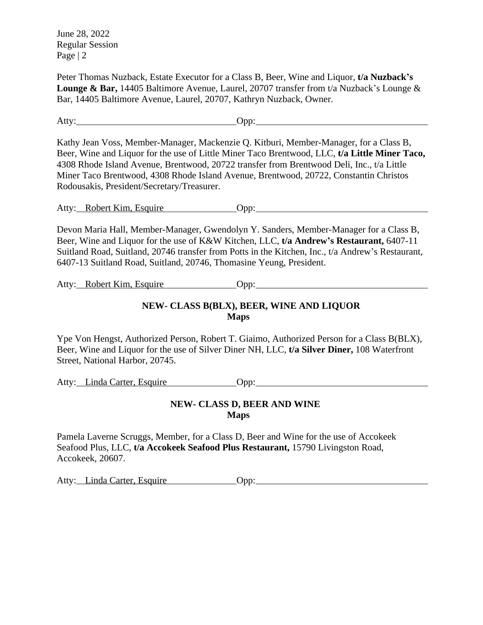June 28, 2022 Regular Session Page | 2

Peter Thomas Nuzback, Estate Executor for a Class B, Beer, Wine and Liquor, **t/a Nuzback's Lounge & Bar,** 14405 Baltimore Avenue, Laurel, 20707 transfer from t/a Nuzback's Lounge & Bar, 14405 Baltimore Avenue, Laurel, 20707, Kathryn Nuzback, Owner.

Atty: Opp: Opp: Opp: 2004

Kathy Jean Voss, Member-Manager, Mackenzie Q. Kitburi, Member-Manager, for a Class B, Beer, Wine and Liquor for the use of Little Miner Taco Brentwood, LLC, **t/a Little Miner Taco,** 4308 Rhode Island Avenue, Brentwood, 20722 transfer from Brentwood Deli, Inc., t/a Little Miner Taco Brentwood, 4308 Rhode Island Avenue, Brentwood, 20722, Constantin Christos Rodousakis, President/Secretary/Treasurer.

Atty: Robert Kim, Esquire Opp: Opp:

Devon Maria Hall, Member-Manager, Gwendolyn Y. Sanders, Member-Manager for a Class B, Beer, Wine and Liquor for the use of K&W Kitchen, LLC, **t/a Andrew's Restaurant,** 6407-11 Suitland Road, Suitland, 20746 transfer from Potts in the Kitchen, Inc., t/a Andrew's Restaurant, 6407-13 Suitland Road, Suitland, 20746, Thomasine Yeung, President.

Atty: Robert Kim, Esquire Opp: Opp:

## **NEW- CLASS B(BLX), BEER, WINE AND LIQUOR Maps**

Ype Von Hengst, Authorized Person, Robert T. Giaimo, Authorized Person for a Class B(BLX), Beer, Wine and Liquor for the use of Silver Diner NH, LLC, **t/a Silver Diner,** 108 Waterfront Street, National Harbor, 20745.

Atty: Linda Carter, Esquire Opp:

# **NEW- CLASS D, BEER AND WINE Maps**

Pamela Laverne Scruggs, Member, for a Class D, Beer and Wine for the use of Accokeek Seafood Plus, LLC, **t/a Accokeek Seafood Plus Restaurant,** 15790 Livingston Road, Accokeek, 20607.

Atty: Linda Carter, Esquire Opp: Opp: 000.